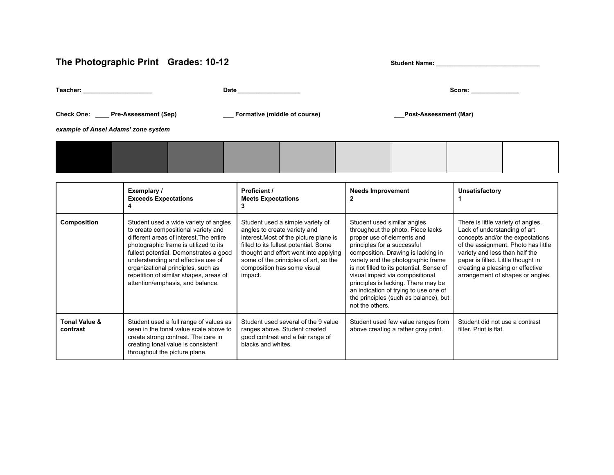## The Photographic Print Grades: 10-12 **Student Name:** \_\_\_\_\_\_\_\_\_\_\_\_\_\_\_\_\_\_\_\_\_\_\_\_\_\_\_\_

**Teacher: \_\_\_\_\_\_\_\_\_\_\_\_\_\_\_\_\_\_\_\_ Date \_\_\_\_\_\_\_\_\_\_\_\_\_\_\_\_\_\_ Score: \_\_\_\_\_\_\_\_\_\_\_\_\_\_**

**Check One: \_\_\_\_ PreAssessment (Sep) \_\_\_ Formative (middle of course) \_\_\_PostAssessment (Mar)**

*example of Ansel Adams' zone system*

|                                      | Exemplary /<br><b>Exceeds Expectations</b>                                                                                                                                                                                                                                                                                                                           | Proficient /<br><b>Meets Expectations</b><br>3                                                                                                                                                                                                                                  | <b>Needs Improvement</b>                                                                                                                                                                                                                                                                                                                                                                                                             | Unsatisfactory                                                                                                                                                                                                                                                                                |
|--------------------------------------|----------------------------------------------------------------------------------------------------------------------------------------------------------------------------------------------------------------------------------------------------------------------------------------------------------------------------------------------------------------------|---------------------------------------------------------------------------------------------------------------------------------------------------------------------------------------------------------------------------------------------------------------------------------|--------------------------------------------------------------------------------------------------------------------------------------------------------------------------------------------------------------------------------------------------------------------------------------------------------------------------------------------------------------------------------------------------------------------------------------|-----------------------------------------------------------------------------------------------------------------------------------------------------------------------------------------------------------------------------------------------------------------------------------------------|
| Composition                          | Student used a wide variety of angles<br>to create compositional variety and<br>different areas of interest. The entire<br>photographic frame is utilized to its<br>fullest potential. Demonstrates a good<br>understanding and effective use of<br>organizational principles, such as<br>repetition of similar shapes, areas of<br>attention/emphasis, and balance. | Student used a simple variety of<br>angles to create variety and<br>interest. Most of the picture plane is<br>filled to its fullest potential. Some<br>thought and effort went into applying<br>some of the principles of art, so the<br>composition has some visual<br>impact. | Student used similar angles<br>throughout the photo. Piece lacks<br>proper use of elements and<br>principles for a successful<br>composition. Drawing is lacking in<br>variety and the photographic frame<br>is not filled to its potential. Sense of<br>visual impact via compositional<br>principles is lacking. There may be<br>an indication of trying to use one of<br>the principles (such as balance), but<br>not the others. | There is little variety of angles.<br>Lack of understanding of art<br>concepts and/or the expectations<br>of the assignment. Photo has little<br>variety and less than half the<br>paper is filled. Little thought in<br>creating a pleasing or effective<br>arrangement of shapes or angles. |
| <b>Tonal Value &amp;</b><br>contrast | Student used a full range of values as<br>seen in the tonal value scale above to<br>create strong contrast. The care in<br>creating tonal value is consistent<br>throughout the picture plane.                                                                                                                                                                       | Student used several of the 9 value<br>ranges above. Student created<br>good contrast and a fair range of<br>blacks and whites.                                                                                                                                                 | Student used few value ranges from<br>above creating a rather gray print.                                                                                                                                                                                                                                                                                                                                                            | Student did not use a contrast<br>filter. Print is flat.                                                                                                                                                                                                                                      |